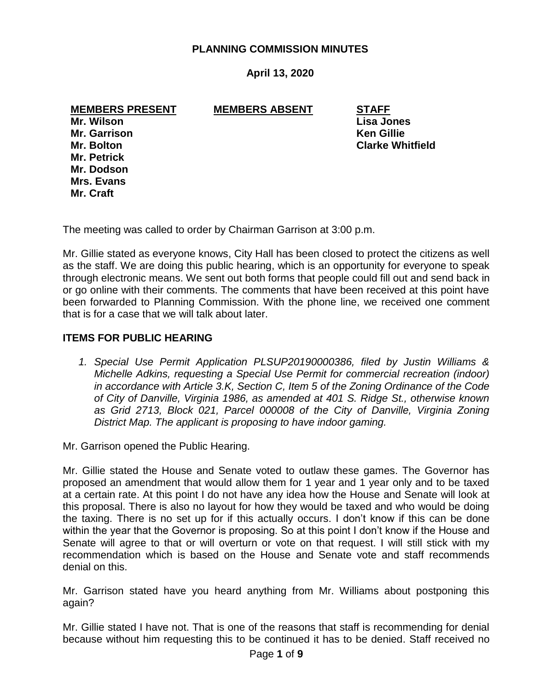# **PLANNING COMMISSION MINUTES**

# **April 13, 2020**

**MEMBERS PRESENT MEMBERS ABSENT STAFF**

**Mr. Wilson Lisa Jones Mr. Garrison Ken Gillie Mr. Petrick Mr. Dodson Mrs. Evans Mr. Craft**

**Mr. Bolton Clarke Whitfield**

The meeting was called to order by Chairman Garrison at 3:00 p.m.

Mr. Gillie stated as everyone knows, City Hall has been closed to protect the citizens as well as the staff. We are doing this public hearing, which is an opportunity for everyone to speak through electronic means. We sent out both forms that people could fill out and send back in or go online with their comments. The comments that have been received at this point have been forwarded to Planning Commission. With the phone line, we received one comment that is for a case that we will talk about later.

# **ITEMS FOR PUBLIC HEARING**

*1. Special Use Permit Application PLSUP20190000386, filed by Justin Williams & Michelle Adkins, requesting a Special Use Permit for commercial recreation (indoor) in accordance with Article 3.K, Section C, Item 5 of the Zoning Ordinance of the Code of City of Danville, Virginia 1986, as amended at 401 S. Ridge St., otherwise known as Grid 2713, Block 021, Parcel 000008 of the City of Danville, Virginia Zoning District Map. The applicant is proposing to have indoor gaming.*

Mr. Garrison opened the Public Hearing.

Mr. Gillie stated the House and Senate voted to outlaw these games. The Governor has proposed an amendment that would allow them for 1 year and 1 year only and to be taxed at a certain rate. At this point I do not have any idea how the House and Senate will look at this proposal. There is also no layout for how they would be taxed and who would be doing the taxing. There is no set up for if this actually occurs. I don't know if this can be done within the year that the Governor is proposing. So at this point I don't know if the House and Senate will agree to that or will overturn or vote on that request. I will still stick with my recommendation which is based on the House and Senate vote and staff recommends denial on this.

Mr. Garrison stated have you heard anything from Mr. Williams about postponing this again?

Mr. Gillie stated I have not. That is one of the reasons that staff is recommending for denial because without him requesting this to be continued it has to be denied. Staff received no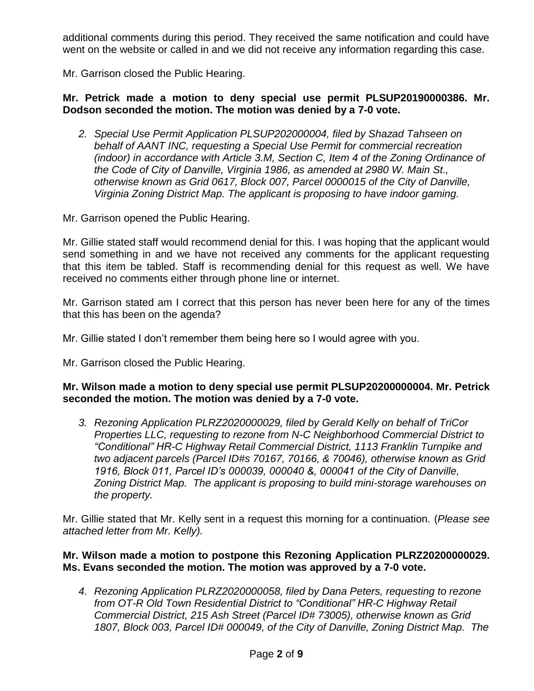additional comments during this period. They received the same notification and could have went on the website or called in and we did not receive any information regarding this case.

Mr. Garrison closed the Public Hearing.

# **Mr. Petrick made a motion to deny special use permit PLSUP20190000386. Mr. Dodson seconded the motion. The motion was denied by a 7-0 vote.**

*2. Special Use Permit Application PLSUP202000004, filed by Shazad Tahseen on behalf of AANT INC, requesting a Special Use Permit for commercial recreation (indoor) in accordance with Article 3.M, Section C, Item 4 of the Zoning Ordinance of the Code of City of Danville, Virginia 1986, as amended at 2980 W. Main St., otherwise known as Grid 0617, Block 007, Parcel 0000015 of the City of Danville, Virginia Zoning District Map. The applicant is proposing to have indoor gaming.*

Mr. Garrison opened the Public Hearing.

Mr. Gillie stated staff would recommend denial for this. I was hoping that the applicant would send something in and we have not received any comments for the applicant requesting that this item be tabled. Staff is recommending denial for this request as well. We have received no comments either through phone line or internet.

Mr. Garrison stated am I correct that this person has never been here for any of the times that this has been on the agenda?

Mr. Gillie stated I don't remember them being here so I would agree with you.

Mr. Garrison closed the Public Hearing.

## **Mr. Wilson made a motion to deny special use permit PLSUP20200000004. Mr. Petrick seconded the motion. The motion was denied by a 7-0 vote.**

*3. Rezoning Application PLRZ2020000029, filed by Gerald Kelly on behalf of TriCor Properties LLC, requesting to rezone from N-C Neighborhood Commercial District to "Conditional" HR-C Highway Retail Commercial District, 1113 Franklin Turnpike and two adjacent parcels (Parcel ID#s 70167, 70166, & 70046), otherwise known as Grid 1916, Block 011, Parcel ID's 000039, 000040 &, 000041 of the City of Danville, Zoning District Map. The applicant is proposing to build mini-storage warehouses on the property.*

Mr. Gillie stated that Mr. Kelly sent in a request this morning for a continuation. (*Please see attached letter from Mr. Kelly).*

# **Mr. Wilson made a motion to postpone this Rezoning Application PLRZ20200000029. Ms. Evans seconded the motion. The motion was approved by a 7-0 vote.**

*4. Rezoning Application PLRZ2020000058, filed by Dana Peters, requesting to rezone from OT-R Old Town Residential District to "Conditional" HR-C Highway Retail Commercial District, 215 Ash Street (Parcel ID# 73005), otherwise known as Grid 1807, Block 003, Parcel ID# 000049, of the City of Danville, Zoning District Map. The*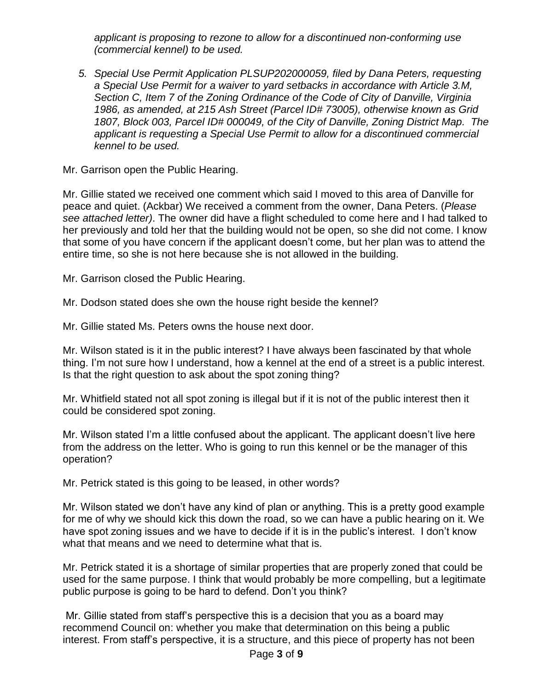*applicant is proposing to rezone to allow for a discontinued non-conforming use (commercial kennel) to be used.*

*5. Special Use Permit Application PLSUP202000059, filed by Dana Peters, requesting a Special Use Permit for a waiver to yard setbacks in accordance with Article 3.M, Section C, Item 7 of the Zoning Ordinance of the Code of City of Danville, Virginia 1986, as amended, at 215 Ash Street (Parcel ID# 73005), otherwise known as Grid 1807, Block 003, Parcel ID# 000049, of the City of Danville, Zoning District Map. The applicant is requesting a Special Use Permit to allow for a discontinued commercial kennel to be used.*

Mr. Garrison open the Public Hearing.

Mr. Gillie stated we received one comment which said I moved to this area of Danville for peace and quiet. (Ackbar) We received a comment from the owner, Dana Peters. (*Please see attached letter)*. The owner did have a flight scheduled to come here and I had talked to her previously and told her that the building would not be open, so she did not come. I know that some of you have concern if the applicant doesn't come, but her plan was to attend the entire time, so she is not here because she is not allowed in the building.

Mr. Garrison closed the Public Hearing.

Mr. Dodson stated does she own the house right beside the kennel?

Mr. Gillie stated Ms. Peters owns the house next door.

Mr. Wilson stated is it in the public interest? I have always been fascinated by that whole thing. I'm not sure how I understand, how a kennel at the end of a street is a public interest. Is that the right question to ask about the spot zoning thing?

Mr. Whitfield stated not all spot zoning is illegal but if it is not of the public interest then it could be considered spot zoning.

Mr. Wilson stated I'm a little confused about the applicant. The applicant doesn't live here from the address on the letter. Who is going to run this kennel or be the manager of this operation?

Mr. Petrick stated is this going to be leased, in other words?

Mr. Wilson stated we don't have any kind of plan or anything. This is a pretty good example for me of why we should kick this down the road, so we can have a public hearing on it. We have spot zoning issues and we have to decide if it is in the public's interest. I don't know what that means and we need to determine what that is.

Mr. Petrick stated it is a shortage of similar properties that are properly zoned that could be used for the same purpose. I think that would probably be more compelling, but a legitimate public purpose is going to be hard to defend. Don't you think?

Mr. Gillie stated from staff's perspective this is a decision that you as a board may recommend Council on: whether you make that determination on this being a public interest. From staff's perspective, it is a structure, and this piece of property has not been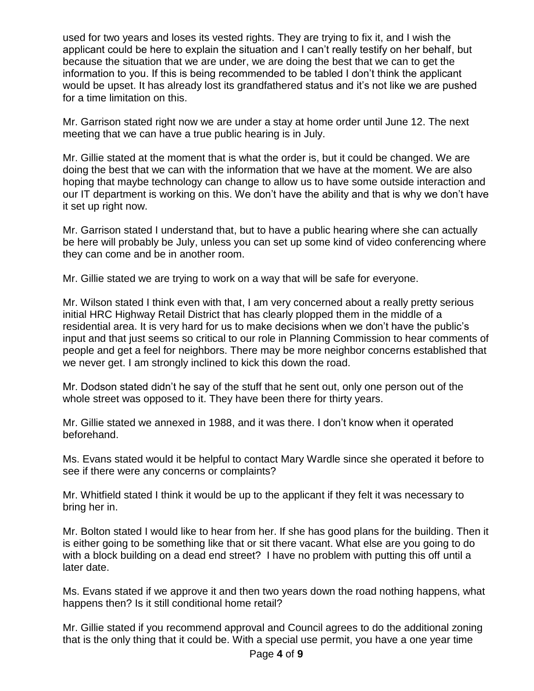used for two years and loses its vested rights. They are trying to fix it, and I wish the applicant could be here to explain the situation and I can't really testify on her behalf, but because the situation that we are under, we are doing the best that we can to get the information to you. If this is being recommended to be tabled I don't think the applicant would be upset. It has already lost its grandfathered status and it's not like we are pushed for a time limitation on this.

Mr. Garrison stated right now we are under a stay at home order until June 12. The next meeting that we can have a true public hearing is in July.

Mr. Gillie stated at the moment that is what the order is, but it could be changed. We are doing the best that we can with the information that we have at the moment. We are also hoping that maybe technology can change to allow us to have some outside interaction and our IT department is working on this. We don't have the ability and that is why we don't have it set up right now.

Mr. Garrison stated I understand that, but to have a public hearing where she can actually be here will probably be July, unless you can set up some kind of video conferencing where they can come and be in another room.

Mr. Gillie stated we are trying to work on a way that will be safe for everyone.

Mr. Wilson stated I think even with that, I am very concerned about a really pretty serious initial HRC Highway Retail District that has clearly plopped them in the middle of a residential area. It is very hard for us to make decisions when we don't have the public's input and that just seems so critical to our role in Planning Commission to hear comments of people and get a feel for neighbors. There may be more neighbor concerns established that we never get. I am strongly inclined to kick this down the road.

Mr. Dodson stated didn't he say of the stuff that he sent out, only one person out of the whole street was opposed to it. They have been there for thirty years.

Mr. Gillie stated we annexed in 1988, and it was there. I don't know when it operated beforehand.

Ms. Evans stated would it be helpful to contact Mary Wardle since she operated it before to see if there were any concerns or complaints?

Mr. Whitfield stated I think it would be up to the applicant if they felt it was necessary to bring her in.

Mr. Bolton stated I would like to hear from her. If she has good plans for the building. Then it is either going to be something like that or sit there vacant. What else are you going to do with a block building on a dead end street? I have no problem with putting this off until a later date.

Ms. Evans stated if we approve it and then two years down the road nothing happens, what happens then? Is it still conditional home retail?

Mr. Gillie stated if you recommend approval and Council agrees to do the additional zoning that is the only thing that it could be. With a special use permit, you have a one year time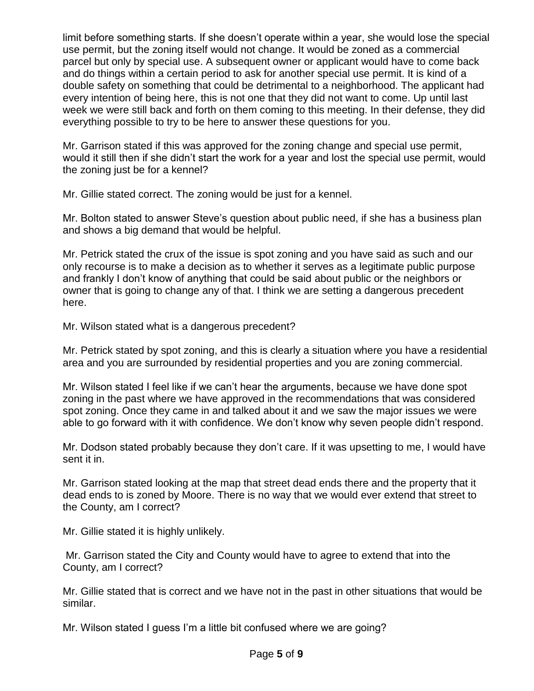limit before something starts. If she doesn't operate within a year, she would lose the special use permit, but the zoning itself would not change. It would be zoned as a commercial parcel but only by special use. A subsequent owner or applicant would have to come back and do things within a certain period to ask for another special use permit. It is kind of a double safety on something that could be detrimental to a neighborhood. The applicant had every intention of being here, this is not one that they did not want to come. Up until last week we were still back and forth on them coming to this meeting. In their defense, they did everything possible to try to be here to answer these questions for you.

Mr. Garrison stated if this was approved for the zoning change and special use permit, would it still then if she didn't start the work for a year and lost the special use permit, would the zoning just be for a kennel?

Mr. Gillie stated correct. The zoning would be just for a kennel.

Mr. Bolton stated to answer Steve's question about public need, if she has a business plan and shows a big demand that would be helpful.

Mr. Petrick stated the crux of the issue is spot zoning and you have said as such and our only recourse is to make a decision as to whether it serves as a legitimate public purpose and frankly I don't know of anything that could be said about public or the neighbors or owner that is going to change any of that. I think we are setting a dangerous precedent here.

Mr. Wilson stated what is a dangerous precedent?

Mr. Petrick stated by spot zoning, and this is clearly a situation where you have a residential area and you are surrounded by residential properties and you are zoning commercial.

Mr. Wilson stated I feel like if we can't hear the arguments, because we have done spot zoning in the past where we have approved in the recommendations that was considered spot zoning. Once they came in and talked about it and we saw the major issues we were able to go forward with it with confidence. We don't know why seven people didn't respond.

Mr. Dodson stated probably because they don't care. If it was upsetting to me, I would have sent it in.

Mr. Garrison stated looking at the map that street dead ends there and the property that it dead ends to is zoned by Moore. There is no way that we would ever extend that street to the County, am I correct?

Mr. Gillie stated it is highly unlikely.

Mr. Garrison stated the City and County would have to agree to extend that into the County, am I correct?

Mr. Gillie stated that is correct and we have not in the past in other situations that would be similar.

Mr. Wilson stated I guess I'm a little bit confused where we are going?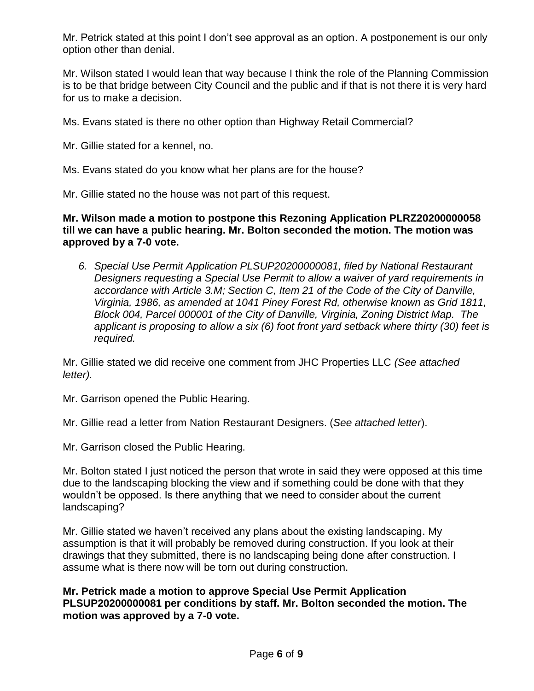Mr. Petrick stated at this point I don't see approval as an option. A postponement is our only option other than denial.

Mr. Wilson stated I would lean that way because I think the role of the Planning Commission is to be that bridge between City Council and the public and if that is not there it is very hard for us to make a decision.

Ms. Evans stated is there no other option than Highway Retail Commercial?

Mr. Gillie stated for a kennel, no.

Ms. Evans stated do you know what her plans are for the house?

Mr. Gillie stated no the house was not part of this request.

**Mr. Wilson made a motion to postpone this Rezoning Application PLRZ20200000058 till we can have a public hearing. Mr. Bolton seconded the motion. The motion was approved by a 7-0 vote.**

*6. Special Use Permit Application PLSUP20200000081, filed by National Restaurant Designers requesting a Special Use Permit to allow a waiver of yard requirements in accordance with Article 3.M; Section C, Item 21 of the Code of the City of Danville, Virginia, 1986, as amended at 1041 Piney Forest Rd, otherwise known as Grid 1811, Block 004, Parcel 000001 of the City of Danville, Virginia, Zoning District Map. The applicant is proposing to allow a six (6) foot front yard setback where thirty (30) feet is required.*

Mr. Gillie stated we did receive one comment from JHC Properties LLC *(See attached letter).*

Mr. Garrison opened the Public Hearing.

Mr. Gillie read a letter from Nation Restaurant Designers. (*See attached letter*).

Mr. Garrison closed the Public Hearing.

Mr. Bolton stated I just noticed the person that wrote in said they were opposed at this time due to the landscaping blocking the view and if something could be done with that they wouldn't be opposed. Is there anything that we need to consider about the current landscaping?

Mr. Gillie stated we haven't received any plans about the existing landscaping. My assumption is that it will probably be removed during construction. If you look at their drawings that they submitted, there is no landscaping being done after construction. I assume what is there now will be torn out during construction.

**Mr. Petrick made a motion to approve Special Use Permit Application PLSUP20200000081 per conditions by staff. Mr. Bolton seconded the motion. The motion was approved by a 7-0 vote.**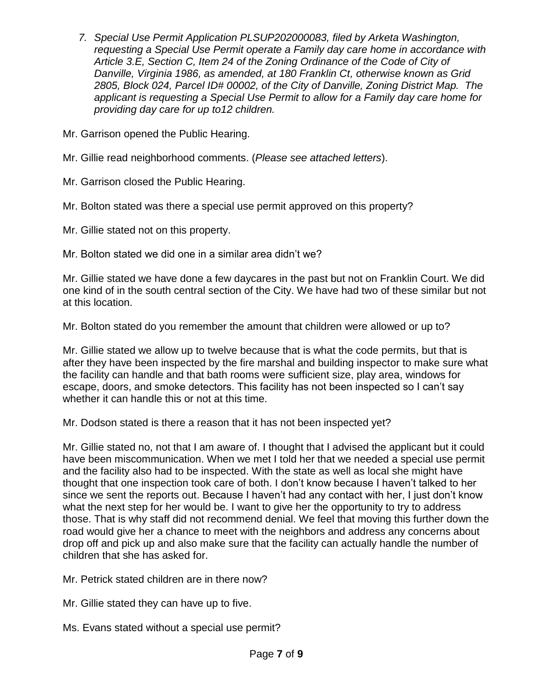*7. Special Use Permit Application PLSUP202000083, filed by Arketa Washington, requesting a Special Use Permit operate a Family day care home in accordance with Article 3.E, Section C, Item 24 of the Zoning Ordinance of the Code of City of Danville, Virginia 1986, as amended, at 180 Franklin Ct, otherwise known as Grid 2805, Block 024, Parcel ID# 00002, of the City of Danville, Zoning District Map. The applicant is requesting a Special Use Permit to allow for a Family day care home for providing day care for up to12 children.*

Mr. Garrison opened the Public Hearing.

Mr. Gillie read neighborhood comments. (*Please see attached letters*).

Mr. Garrison closed the Public Hearing.

Mr. Bolton stated was there a special use permit approved on this property?

Mr. Gillie stated not on this property.

Mr. Bolton stated we did one in a similar area didn't we?

Mr. Gillie stated we have done a few daycares in the past but not on Franklin Court. We did one kind of in the south central section of the City. We have had two of these similar but not at this location.

Mr. Bolton stated do you remember the amount that children were allowed or up to?

Mr. Gillie stated we allow up to twelve because that is what the code permits, but that is after they have been inspected by the fire marshal and building inspector to make sure what the facility can handle and that bath rooms were sufficient size, play area, windows for escape, doors, and smoke detectors. This facility has not been inspected so I can't say whether it can handle this or not at this time.

Mr. Dodson stated is there a reason that it has not been inspected yet?

Mr. Gillie stated no, not that I am aware of. I thought that I advised the applicant but it could have been miscommunication. When we met I told her that we needed a special use permit and the facility also had to be inspected. With the state as well as local she might have thought that one inspection took care of both. I don't know because I haven't talked to her since we sent the reports out. Because I haven't had any contact with her, I just don't know what the next step for her would be. I want to give her the opportunity to try to address those. That is why staff did not recommend denial. We feel that moving this further down the road would give her a chance to meet with the neighbors and address any concerns about drop off and pick up and also make sure that the facility can actually handle the number of children that she has asked for.

Mr. Petrick stated children are in there now?

Mr. Gillie stated they can have up to five.

Ms. Evans stated without a special use permit?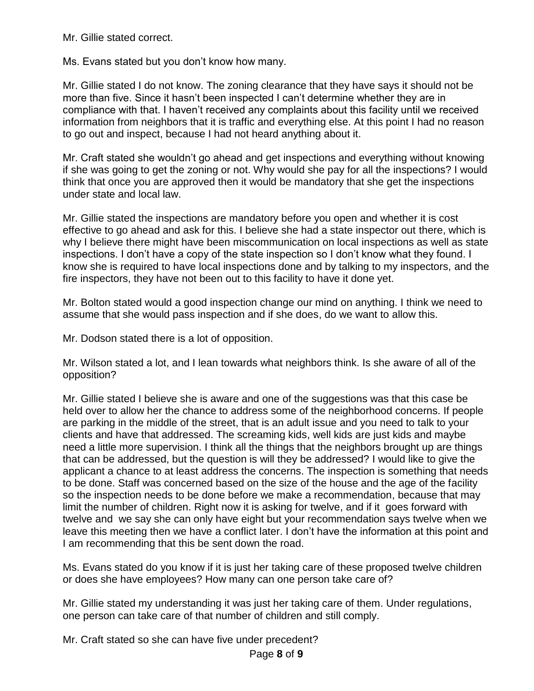Mr. Gillie stated correct.

Ms. Evans stated but you don't know how many.

Mr. Gillie stated I do not know. The zoning clearance that they have says it should not be more than five. Since it hasn't been inspected I can't determine whether they are in compliance with that. I haven't received any complaints about this facility until we received information from neighbors that it is traffic and everything else. At this point I had no reason to go out and inspect, because I had not heard anything about it.

Mr. Craft stated she wouldn't go ahead and get inspections and everything without knowing if she was going to get the zoning or not. Why would she pay for all the inspections? I would think that once you are approved then it would be mandatory that she get the inspections under state and local law.

Mr. Gillie stated the inspections are mandatory before you open and whether it is cost effective to go ahead and ask for this. I believe she had a state inspector out there, which is why I believe there might have been miscommunication on local inspections as well as state inspections. I don't have a copy of the state inspection so I don't know what they found. I know she is required to have local inspections done and by talking to my inspectors, and the fire inspectors, they have not been out to this facility to have it done yet.

Mr. Bolton stated would a good inspection change our mind on anything. I think we need to assume that she would pass inspection and if she does, do we want to allow this.

Mr. Dodson stated there is a lot of opposition.

Mr. Wilson stated a lot, and I lean towards what neighbors think. Is she aware of all of the opposition?

Mr. Gillie stated I believe she is aware and one of the suggestions was that this case be held over to allow her the chance to address some of the neighborhood concerns. If people are parking in the middle of the street, that is an adult issue and you need to talk to your clients and have that addressed. The screaming kids, well kids are just kids and maybe need a little more supervision. I think all the things that the neighbors brought up are things that can be addressed, but the question is will they be addressed? I would like to give the applicant a chance to at least address the concerns. The inspection is something that needs to be done. Staff was concerned based on the size of the house and the age of the facility so the inspection needs to be done before we make a recommendation, because that may limit the number of children. Right now it is asking for twelve, and if it goes forward with twelve and we say she can only have eight but your recommendation says twelve when we leave this meeting then we have a conflict later. I don't have the information at this point and I am recommending that this be sent down the road.

Ms. Evans stated do you know if it is just her taking care of these proposed twelve children or does she have employees? How many can one person take care of?

Mr. Gillie stated my understanding it was just her taking care of them. Under regulations, one person can take care of that number of children and still comply.

Mr. Craft stated so she can have five under precedent?